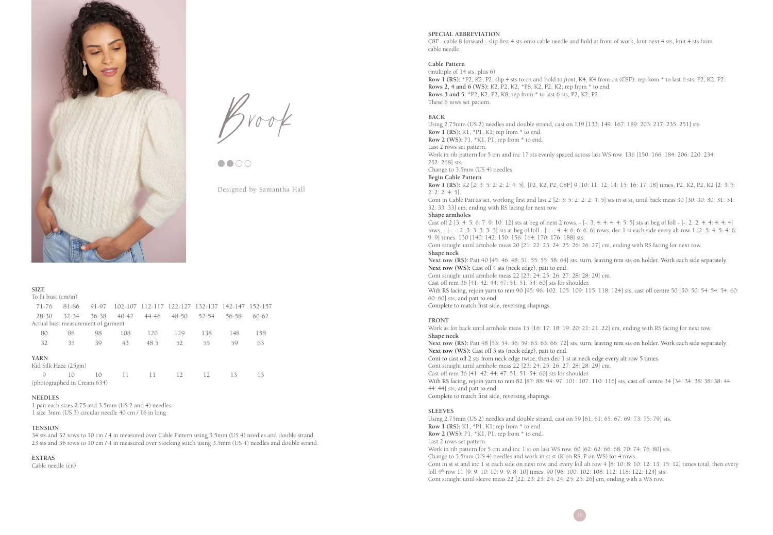

 $B$ rook



Designed by Samantha Hall

| <b>SIZE</b>                        |           |       |       |                                                 |       |       |       |         |
|------------------------------------|-----------|-------|-------|-------------------------------------------------|-------|-------|-------|---------|
| To fit bust (cm/in)                |           |       |       |                                                 |       |       |       |         |
| 71-76                              | 81-86     | 91-97 |       | 102-107 112-117 122-127 132-137 142-147 152-157 |       |       |       |         |
| 28-30                              | $32 - 34$ | 36-38 | 40-42 | 44-46                                           | 48-50 | 52-54 | 56-58 | $60-62$ |
| Actual bust measurement of garment |           |       |       |                                                 |       |       |       |         |
| 80                                 | 88        | 98    | 108   | 120                                             | 129   | 138   | 148   | 158     |
| 32                                 | 35        | 39    | 43    | 48.5                                            | 52    | 55    | 59    | 63      |
| <b>YARN</b>                        |           |       |       |                                                 |       |       |       |         |
| Kid Silk Haze (25gm)               |           |       |       |                                                 |       |       |       |         |
| $\mathcal{Q}$                      | 10        | 10    | 11    | 11                                              | 12    | 12    | 13    | 13      |
| (photographed in Cream 634)        |           |       |       |                                                 |       |       |       |         |

### **NEEDLES**

1 pair each sizes 2.75 and 3.5mm (US 2 and 4) needles 1 size 3mm (US 3) circular needle 40 cm / 16 in long

## **TENSION**

34 sts and 32 rows to 10 cm / 4 in measured over Cable Pattern using 3.5mm (US 4) needles and double strand. 23 sts and 36 rows to 10 cm / 4 in measured over Stocking stitch using 3.5mm (US 4) needles and double strand.

**EXTRAS**

Cable needle (cn)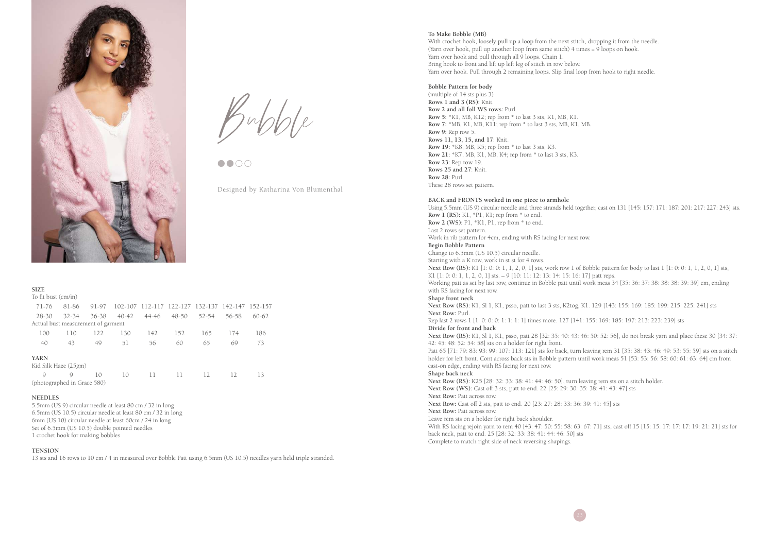

 $B$ ubble

Designed by Katharina Von Blumenthal

| <b>SIZE</b>                        |           |       |       |                                                 |       |       |       |         |
|------------------------------------|-----------|-------|-------|-------------------------------------------------|-------|-------|-------|---------|
| To fit bust (cm/in)                |           |       |       |                                                 |       |       |       |         |
| 71-76                              | 81-86     | 91-97 |       | 102-107 112-117 122-127 132-137 142-147 152-157 |       |       |       |         |
| $28 - 30$                          | $32 - 34$ | 36-38 | 40-42 | 44-46                                           | 48-50 | 52-54 | 56-58 | $60-62$ |
| Actual bust measurement of garment |           |       |       |                                                 |       |       |       |         |
| 100                                | 110       | 122   | 130   | 142                                             | 152   | 165   | 174   | 186     |
| 40                                 | 43        | 49    | 51    | 56                                              | 60    | 65    | 69    | 73      |
| <b>YARN</b>                        |           |       |       |                                                 |       |       |       |         |
| Kid Silk Haze (25gm)               |           |       |       |                                                 |       |       |       |         |
| $\mathcal{Q}$                      | Q         | 10    | 10    | 11                                              | 11    | 12    | 12    | 13      |
| (photographed in Grace 580)        |           |       |       |                                                 |       |       |       |         |

## **NEEDLES**

5.5mm (US 9) circular needle at least 80 cm / 32 in long 6.5mm (US 10.5) circular needle at least 80 cm / 32 in long 6mm (US 10) circular needle at least 60cm / 24 in long Set of 6.5mm (US 10.5) double pointed needles 1 crochet hook for making bobbles

## **TENSION**

13 sts and 16 rows to 10 cm / 4 in measured over Bobble Patt using 6.5mm (US 10.5) needles yarn held triple stranded.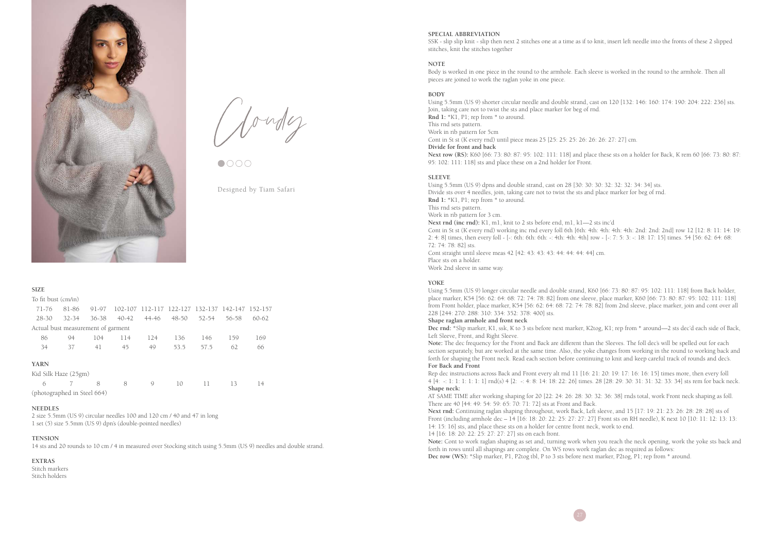

Cloudy

Designed by Tiam Safari

# **SIZE**

| To fit bust (cm/in)                |       |       |           |                                         |           |       |       |           |
|------------------------------------|-------|-------|-----------|-----------------------------------------|-----------|-------|-------|-----------|
| $71 - 76$                          | 81-86 | 91-97 | 102-107   | 112-117 122-127 132-137 142-147 152-157 |           |       |       |           |
| 28-30                              | 32-34 | 36-38 | $40 - 42$ | 44-46                                   | $48 - 50$ | 52-54 | 56-58 | $60 - 62$ |
| Actual bust measurement of garment |       |       |           |                                         |           |       |       |           |
| 86                                 | 94    | 104   | 114       | 124                                     | 136       | 146   | 159   | 169       |
| 34                                 | 37    | 41    | 45        | 49                                      | 53.5      | 57.5  | 62    | 66        |
| <b>YARN</b>                        |       |       |           |                                         |           |       |       |           |
| Kid Silk Haze (25gm)               |       |       |           |                                         |           |       |       |           |
| 6                                  |       | 8     | 8         | 9                                       | 10        | 11    | 13    | 14        |
| (photographed in Steel 664)        |       |       |           |                                         |           |       |       |           |

#### **NEEDLES**

2 size 5.5mm (US 9) circular needles 100 and 120 cm / 40 and 47 in long 1 set (5) size 5.5mm (US 9) dpn's (double-pointed needles)

### **TENSION**

14 sts and 20 rounds to 10 cm / 4 in measured over Stocking stitch using 5.5mm (US 9) needles and double strand.

# **EXTRAS**

Stitch markers Stitch holders